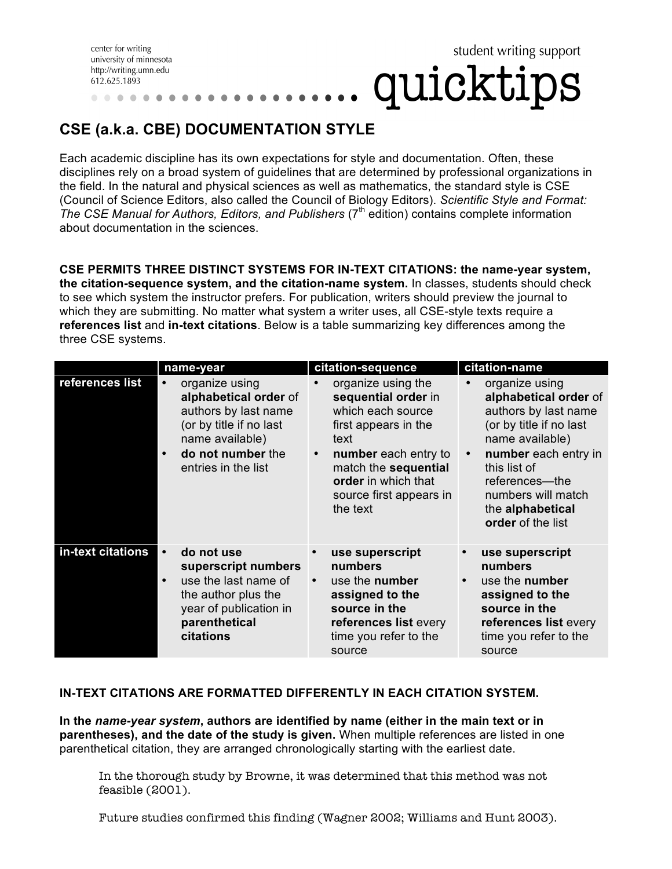center for writing university of minnesota http://writing.umn.edu 612.625.1893

## **CSE (a.k.a. CBE) DOCUMENTATION STYLE**

Each academic discipline has its own expectations for style and documentation. Often, these disciplines rely on a broad system of guidelines that are determined by professional organizations in the field. In the natural and physical sciences as well as mathematics, the standard style is CSE (Council of Science Editors, also called the Council of Biology Editors). *Scientific Style and Format:*  The CSE Manual for Authors, Editors, and Publishers (7<sup>th</sup> edition) contains complete information about documentation in the sciences.

student writing support

quicktips

**CSE PERMITS THREE DISTINCT SYSTEMS FOR IN-TEXT CITATIONS: the name-year system, the citation-sequence system, and the citation-name system.** In classes, students should check to see which system the instructor prefers. For publication, writers should preview the journal to which they are submitting. No matter what system a writer uses, all CSE-style texts require a **references list** and **in-text citations**. Below is a table summarizing key differences among the three CSE systems.

|                   | name-year                                                                                                                                                 | citation-sequence                                                                                                                                                                                                         | citation-name                                                                                                                                                                                                                                       |
|-------------------|-----------------------------------------------------------------------------------------------------------------------------------------------------------|---------------------------------------------------------------------------------------------------------------------------------------------------------------------------------------------------------------------------|-----------------------------------------------------------------------------------------------------------------------------------------------------------------------------------------------------------------------------------------------------|
| references list   | organize using<br>alphabetical order of<br>authors by last name<br>(or by title if no last<br>name available)<br>do not number the<br>entries in the list | organize using the<br>sequential order in<br>which each source<br>first appears in the<br>text<br>number each entry to<br>$\bullet$<br>match the sequential<br>order in which that<br>source first appears in<br>the text | organize using<br>alphabetical order of<br>authors by last name<br>(or by title if no last<br>name available)<br>number each entry in<br>$\bullet$<br>this list of<br>references—the<br>numbers will match<br>the alphabetical<br>order of the list |
| in-text citations | do not use<br>superscript numbers<br>use the last name of<br>the author plus the<br>year of publication in<br>parenthetical<br>citations                  | use superscript<br>numbers<br>use the number<br>assigned to the<br>source in the<br>references list every<br>time you refer to the<br>source                                                                              | use superscript<br>$\bullet$<br>numbers<br>use the number<br>$\bullet$<br>assigned to the<br>source in the<br>references list every<br>time you refer to the<br>source                                                                              |

## **IN-TEXT CITATIONS ARE FORMATTED DIFFERENTLY IN EACH CITATION SYSTEM.**

**In the** *name-year system***, authors are identified by name (either in the main text or in parentheses), and the date of the study is given.** When multiple references are listed in one parenthetical citation, they are arranged chronologically starting with the earliest date.

In the thorough study by Browne, it was determined that this method was not feasible (2001).

Future studies confirmed this finding (Wagner 2002; Williams and Hunt 2003).